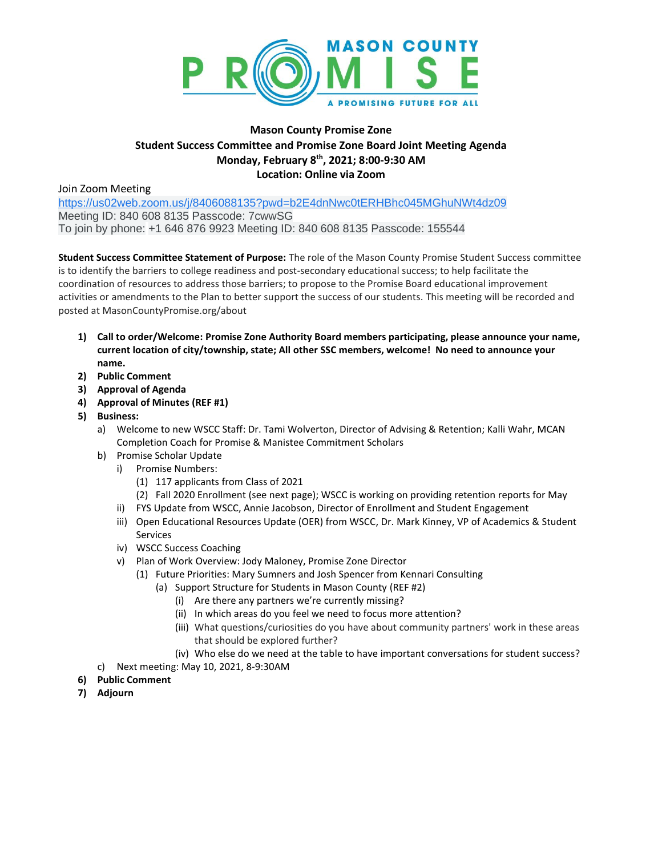

## **Mason County Promise Zone Student Success Committee and Promise Zone Board Joint Meeting Agenda Monday, February 8th , 2021; 8:00-9:30 AM Location: Online via Zoom**

Join Zoom Meeting

[https://us02web.zoom.us/j/8406088135?pwd=b2E4dnNwc0tERHBhc045MGhuNWt4dz09](https://www.google.com/url?q=https://us02web.zoom.us/j/8406088135?pwd%3Db2E4dnNwc0tERHBhc045MGhuNWt4dz09&sa=D&source=calendar&ust=1603551787999000&usg=AOvVaw3tjEV2Bk_tT_vwsim8e5QO) Meeting ID: 840 608 8135 Passcode: 7cwwSG To join by phone: +1 646 876 9923 Meeting ID: 840 608 8135 Passcode: 155544

**Student Success Committee Statement of Purpose:** The role of the Mason County Promise Student Success committee is to identify the barriers to college readiness and post-secondary educational success; to help facilitate the coordination of resources to address those barriers; to propose to the Promise Board educational improvement activities or amendments to the Plan to better support the success of our students. This meeting will be recorded and posted at MasonCountyPromise.org/about

- **1) Call to order/Welcome: Promise Zone Authority Board members participating, please announce your name, current location of city/township, state; All other SSC members, welcome! No need to announce your name.**
- **2) Public Comment**
- **3) Approval of Agenda**
- **4) Approval of Minutes (REF #1)**
- **5) Business:** 
	- a) Welcome to new WSCC Staff: Dr. Tami Wolverton, Director of Advising & Retention; Kalli Wahr, MCAN Completion Coach for Promise & Manistee Commitment Scholars
	- b) Promise Scholar Update
		- i) Promise Numbers:
			- (1) 117 applicants from Class of 2021
			- (2) Fall 2020 Enrollment (see next page); WSCC is working on providing retention reports for May
		- ii) FYS Update from WSCC, Annie Jacobson, Director of Enrollment and Student Engagement
		- iii) Open Educational Resources Update (OER) from WSCC, Dr. Mark Kinney, VP of Academics & Student Services
		- iv) WSCC Success Coaching
		- v) Plan of Work Overview: Jody Maloney, Promise Zone Director
			- (1) Future Priorities: Mary Sumners and Josh Spencer from Kennari Consulting
				- (a) Support Structure for Students in Mason County (REF #2)
					- (i) Are there any partners we're currently missing?
					- (ii) In which areas do you feel we need to focus more attention?
					- (iii) What questions/curiosities do you have about community partners' work in these areas that should be explored further?
					- (iv) Who else do we need at the table to have important conversations for student success?
	- c) Next meeting: May 10, 2021, 8-9:30AM
- **6) Public Comment**
- **7) Adjourn**